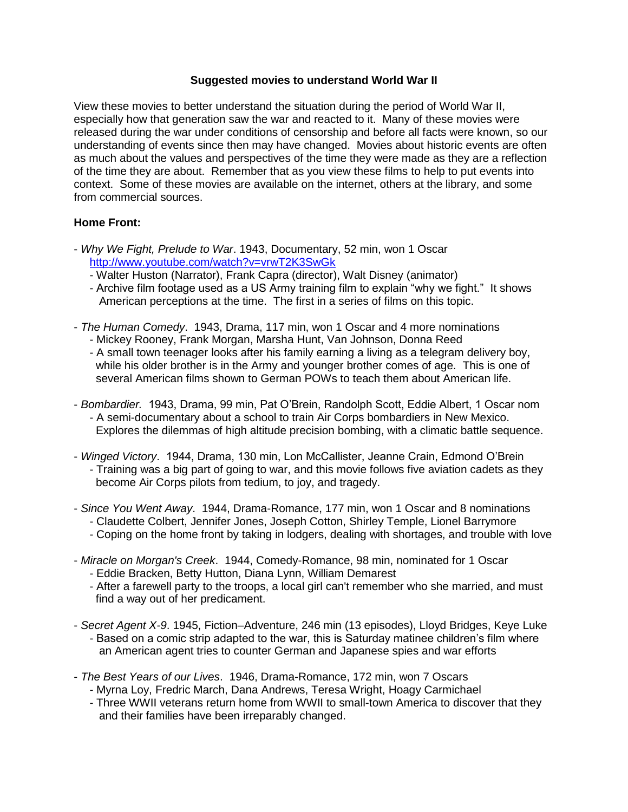### **Suggested movies to understand World War II**

View these movies to better understand the situation during the period of World War II, especially how that generation saw the war and reacted to it. Many of these movies were released during the war under conditions of censorship and before all facts were known, so our understanding of events since then may have changed. Movies about historic events are often as much about the values and perspectives of the time they were made as they are a reflection of the time they are about. Remember that as you view these films to help to put events into context. Some of these movies are available on the internet, others at the library, and some from commercial sources.

### **Home Front:**

- *Why We Fight, Prelude to War*. 1943, Documentary, 52 min, won 1 Oscar <http://www.youtube.com/watch?v=vrwT2K3SwGk>
	- Walter Huston (Narrator), Frank Capra (director), Walt Disney (animator)
	- Archive film footage used as a US Army training film to explain "why we fight." It shows American perceptions at the time. The first in a series of films on this topic.
- *The Human Comedy*. 1943, Drama, 117 min, won 1 Oscar and 4 more nominations
	- Mickey Rooney, Frank Morgan, Marsha Hunt, Van Johnson, Donna Reed
	- A small town teenager looks after his family earning a living as a telegram delivery boy, while his older brother is in the Army and younger brother comes of age. This is one of several American films shown to German POWs to teach them about American life.
- *Bombardier.* 1943, Drama, 99 min, Pat O'Brein, Randolph Scott, Eddie Albert, 1 Oscar nom - A semi-documentary about a school to train Air Corps bombardiers in New Mexico. Explores the dilemmas of high altitude precision bombing, with a climatic battle sequence.
- *Winged Victory*. 1944, Drama, 130 min, Lon McCallister, Jeanne Crain, Edmond O'Brein - Training was a big part of going to war, and this movie follows five aviation cadets as they become Air Corps pilots from tedium, to joy, and tragedy.
- *Since You Went Away*. 1944, Drama-Romance, 177 min, won 1 Oscar and 8 nominations
	- Claudette Colbert, Jennifer Jones, Joseph Cotton, Shirley Temple, Lionel Barrymore
	- Coping on the home front by taking in lodgers, dealing with shortages, and trouble with love
- *Miracle on Morgan's Creek*. 1944, Comedy-Romance, 98 min, nominated for 1 Oscar - Eddie Bracken, Betty Hutton, Diana Lynn, William Demarest
	- After a farewell party to the troops, a local girl can't remember who she married, and must find a way out of her predicament.
- *Secret Agent X-9*. 1945, Fiction–Adventure, 246 min (13 episodes), Lloyd Bridges, Keye Luke - Based on a comic strip adapted to the war, this is Saturday matinee children's film where an American agent tries to counter German and Japanese spies and war efforts
- *The Best Years of our Lives*. 1946, Drama-Romance, 172 min, won 7 Oscars
	- Myrna Loy, Fredric March, Dana Andrews, Teresa Wright, Hoagy Carmichael
	- Three WWII veterans return home from WWII to small-town America to discover that they and their families have been irreparably changed.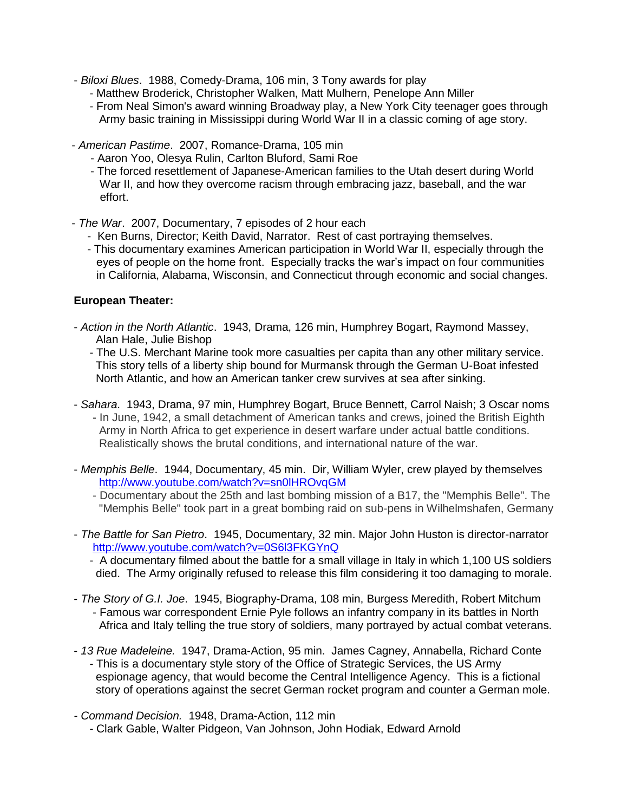- *Biloxi Blues*. 1988, Comedy-Drama, 106 min, 3 Tony awards for play
	- Matthew Broderick, Christopher Walken, Matt Mulhern, Penelope Ann Miller
	- From Neal Simon's award winning Broadway play, a New York City teenager goes through Army basic training in Mississippi during World War II in a classic coming of age story.
- *American Pastime*. 2007, Romance-Drama, 105 min
	- Aaron Yoo, Olesya Rulin, Carlton Bluford, Sami Roe
	- The forced resettlement of Japanese-American families to the Utah desert during World War II, and how they overcome racism through embracing jazz, baseball, and the war effort.
- *The War*. 2007, Documentary, 7 episodes of 2 hour each
	- Ken Burns, Director; Keith David, Narrator. Rest of cast portraying themselves.
	- This documentary examines American participation in World War II, especially through the eyes of people on the home front. Especially tracks the war's impact on four communities in California, Alabama, Wisconsin, and Connecticut through economic and social changes.

### **European Theater:**

- *Action in the North Atlantic*. 1943, Drama, 126 min, Humphrey Bogart, Raymond Massey, Alan Hale, Julie Bishop
	- The U.S. Merchant Marine took more casualties per capita than any other military service. This story tells of a liberty ship bound for Murmansk through the German U-Boat infested North Atlantic, and how an American tanker crew survives at sea after sinking.
- *Sahara*. 1943, Drama, 97 min, Humphrey Bogart, Bruce Bennett, Carrol Naish; 3 Oscar noms - In June, 1942, a small detachment of American tanks and crews, joined the British Eighth Army in North Africa to get experience in desert warfare under actual battle conditions. Realistically shows the brutal conditions, and international nature of the war.
- *Memphis Belle*. 1944, Documentary, 45 min. Dir, William Wyler, crew played by themselves <http://www.youtube.com/watch?v=sn0lHROvqGM>
	- Documentary about the 25th and last bombing mission of a B17, the "Memphis Belle". The "Memphis Belle" took part in a great bombing raid on sub-pens in Wilhelmshafen, Germany
- *The Battle for San Pietro*. 1945, Documentary, 32 min. Major John Huston is director-narrator <http://www.youtube.com/watch?v=0S6l3FKGYnQ>
	- A documentary filmed about the battle for a small village in Italy in which 1,100 US soldiers died. The Army originally refused to release this film considering it too damaging to morale.
- *The Story of G.I. Joe*. 1945, Biography-Drama, 108 min, Burgess Meredith, Robert Mitchum - Famous war correspondent Ernie Pyle follows an infantry company in its battles in North Africa and Italy telling the true story of soldiers, many portrayed by actual combat veterans.
- *13 Rue Madeleine.* 1947, Drama-Action, 95 min. James Cagney, Annabella, Richard Conte - This is a documentary style story of the Office of Strategic Services, the US Army espionage agency, that would become the Central Intelligence Agency. This is a fictional story of operations against the secret German rocket program and counter a German mole.
- *- Command Decision.* 1948, Drama-Action, 112 min - Clark Gable, Walter Pidgeon, Van Johnson, John Hodiak, Edward Arnold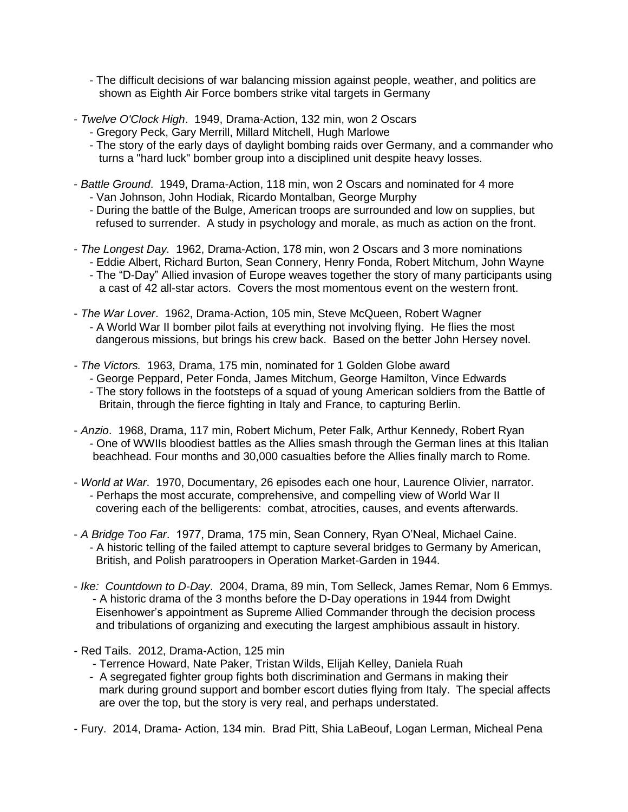- The difficult decisions of war balancing mission against people, weather, and politics are shown as Eighth Air Force bombers strike vital targets in Germany

- *Twelve O'Clock High*. 1949, Drama-Action, 132 min, won 2 Oscars
	- Gregory Peck, Gary Merrill, Millard Mitchell, Hugh Marlowe
	- The story of the early days of daylight bombing raids over Germany, and a commander who turns a "hard luck" bomber group into a disciplined unit despite heavy losses.
- *Battle Ground*. 1949, Drama-Action, 118 min, won 2 Oscars and nominated for 4 more - Van Johnson, John Hodiak, Ricardo Montalban, George Murphy
	- During the battle of the Bulge, American troops are surrounded and low on supplies, but refused to surrender. A study in psychology and morale, as much as action on the front.
- *The Longest Day.* 1962, Drama-Action, 178 min, won 2 Oscars and 3 more nominations - Eddie Albert, Richard Burton, Sean Connery, Henry Fonda, Robert Mitchum, John Wayne
	- The "D-Day" Allied invasion of Europe weaves together the story of many participants using a cast of 42 all-star actors. Covers the most momentous event on the western front.
- *The War Lover*. 1962, Drama-Action, 105 min, Steve McQueen, Robert Wagner - A World War II bomber pilot fails at everything not involving flying. He flies the most dangerous missions, but brings his crew back. Based on the better John Hersey novel.
- *- The Victors.* 1963, Drama, 175 min, nominated for 1 Golden Globe award
	- George Peppard, Peter Fonda, James Mitchum, George Hamilton, Vince Edwards
	- The story follows in the footsteps of a squad of young American soldiers from the Battle of Britain, through the fierce fighting in Italy and France, to capturing Berlin.
- *Anzio*. 1968, Drama, 117 min, Robert Michum, Peter Falk, Arthur Kennedy, Robert Ryan - One of WWIIs bloodiest battles as the Allies smash through the German lines at this Italian beachhead. Four months and 30,000 casualties before the Allies finally march to Rome.
- *World at War*. 1970, Documentary, 26 episodes each one hour, Laurence Olivier, narrator. - Perhaps the most accurate, comprehensive, and compelling view of World War II covering each of the belligerents: combat, atrocities, causes, and events afterwards.
- *A Bridge Too Far*. 1977, Drama, 175 min, Sean Connery, Ryan O'Neal, Michael Caine. - A historic telling of the failed attempt to capture several bridges to Germany by American, British, and Polish paratroopers in Operation Market-Garden in 1944.
- *Ike: Countdown to D-Day*. 2004, Drama, 89 min, Tom Selleck, James Remar, Nom 6 Emmys. - A historic drama of the 3 months before the D-Day operations in 1944 from Dwight Eisenhower's appointment as Supreme Allied Commander through the decision process and tribulations of organizing and executing the largest amphibious assault in history.
- Red Tails. 2012, Drama-Action, 125 min
	- Terrence Howard, Nate Paker, Tristan Wilds, Elijah Kelley, Daniela Ruah
	- A segregated fighter group fights both discrimination and Germans in making their mark during ground support and bomber escort duties flying from Italy. The special affects are over the top, but the story is very real, and perhaps understated.
- Fury. 2014, Drama- Action, 134 min. Brad Pitt, Shia LaBeouf, Logan Lerman, Micheal Pena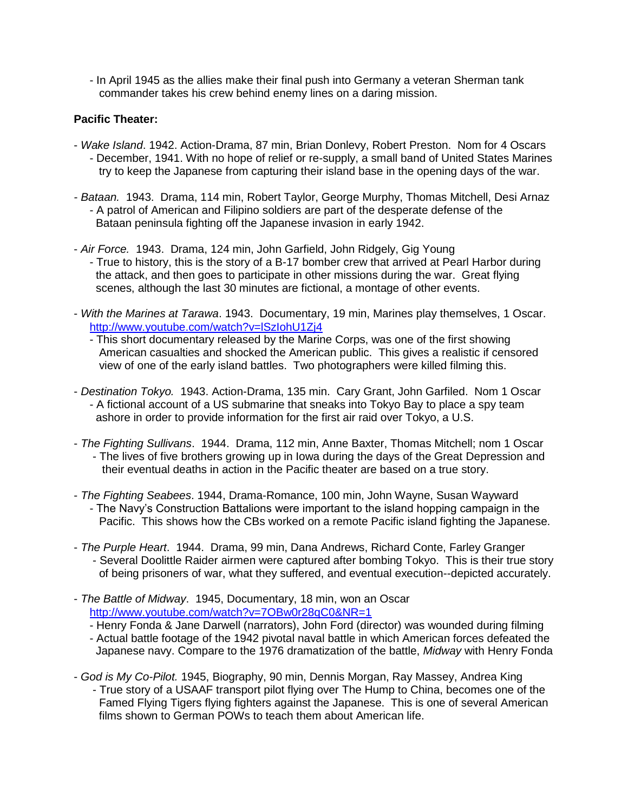- In April 1945 as the allies make their final push into Germany a veteran Sherman tank commander takes his crew behind enemy lines on a daring mission.

## **Pacific Theater:**

- *Wake Island*. 1942. Action-Drama, 87 min, Brian Donlevy, Robert Preston. Nom for 4 Oscars - December, 1941. With no hope of relief or re-supply, a small band of United States Marines try to keep the Japanese from capturing their island base in the opening days of the war.
- *- Bataan.* 1943. Drama, 114 min, Robert Taylor, George Murphy, Thomas Mitchell, Desi Arnaz - A patrol of American and Filipino soldiers are part of the desperate defense of the Bataan peninsula fighting off the Japanese invasion in early 1942.
- *Air Force.* 1943. Drama, 124 min, John Garfield, John Ridgely, Gig Young - True to history, this is the story of a B-17 bomber crew that arrived at Pearl Harbor during the attack, and then goes to participate in other missions during the war. Great flying scenes, although the last 30 minutes are fictional, a montage of other events.
- *With the Marines at Tarawa*. 1943. Documentary, 19 min, Marines play themselves, 1 Oscar. <http://www.youtube.com/watch?v=lSzIohU1Zj4>
	- This short documentary released by the Marine Corps, was one of the first showing American casualties and shocked the American public. This gives a realistic if censored view of one of the early island battles. Two photographers were killed filming this.
- *Destination Tokyo.* 1943. Action-Drama, 135 min. Cary Grant, John Garfiled. Nom 1 Oscar - A fictional account of a US submarine that sneaks into Tokyo Bay to place a spy team ashore in order to provide information for the first air raid over Tokyo, a U.S.
- *The Fighting Sullivans*. 1944. Drama, 112 min, Anne Baxter, Thomas Mitchell; nom 1 Oscar - The lives of five brothers growing up in Iowa during the days of the Great Depression and their eventual deaths in action in the Pacific theater are based on a true story.
- *The Fighting Seabees*. 1944, Drama-Romance, 100 min, John Wayne, Susan Wayward - The Navy's Construction Battalions were important to the island hopping campaign in the Pacific. This shows how the CBs worked on a remote Pacific island fighting the Japanese.
- *The Purple Heart*. 1944. Drama, 99 min, Dana Andrews, Richard Conte, Farley Granger - Several Doolittle Raider airmen were captured after bombing Tokyo. This is their true story of being prisoners of war, what they suffered, and eventual execution--depicted accurately.
- *The Battle of Midway*. 1945, Documentary, 18 min, won an Oscar <http://www.youtube.com/watch?v=7OBw0r28qC0&NR=1>
	- Henry Fonda & Jane Darwell (narrators), John Ford (director) was wounded during filming
	- Actual battle footage of the 1942 pivotal naval battle in which American forces defeated the Japanese navy. Compare to the 1976 dramatization of the battle, *Midway* with Henry Fonda
- *God is My Co-Pilot.* 1945, Biography, 90 min, Dennis Morgan, Ray Massey, Andrea King - True story of a USAAF transport pilot flying over The Hump to China, becomes one of the Famed Flying Tigers flying fighters against the Japanese. This is one of several American films shown to German POWs to teach them about American life.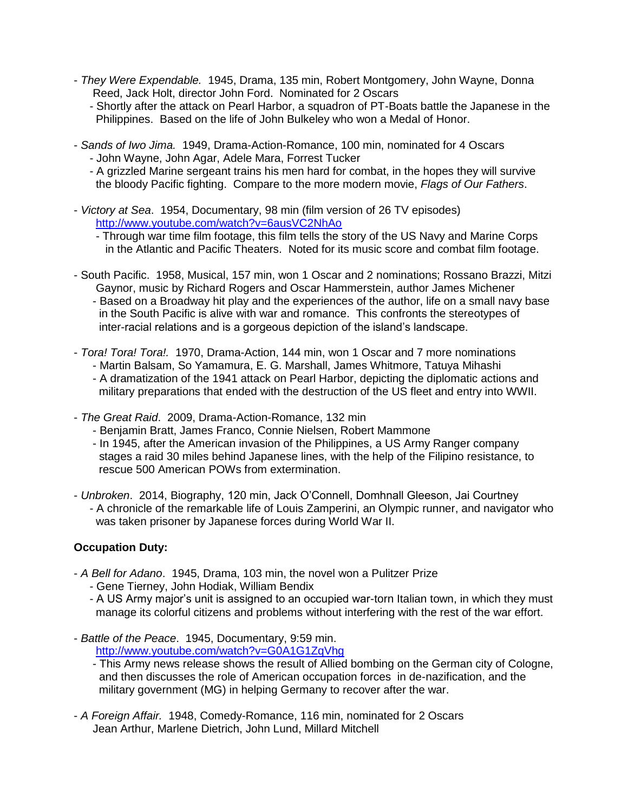- *They Were Expendable.* 1945, Drama, 135 min, Robert Montgomery, John Wayne, Donna Reed, Jack Holt, director John Ford. Nominated for 2 Oscars
	- Shortly after the attack on Pearl Harbor, a squadron of PT-Boats battle the Japanese in the Philippines. Based on the life of John Bulkeley who won a Medal of Honor.
- *Sands of Iwo Jima.* 1949, Drama-Action-Romance, 100 min, nominated for 4 Oscars - John Wayne, John Agar, Adele Mara, Forrest Tucker
	- A grizzled Marine sergeant trains his men hard for combat, in the hopes they will survive the bloody Pacific fighting. Compare to the more modern movie, *Flags of Our Fathers*.
- *Victory at Sea*. 1954, Documentary, 98 min (film version of 26 TV episodes) <http://www.youtube.com/watch?v=6ausVC2NhAo>
	- Through war time film footage, this film tells the story of the US Navy and Marine Corps in the Atlantic and Pacific Theaters. Noted for its music score and combat film footage.
- South Pacific. 1958, Musical, 157 min, won 1 Oscar and 2 nominations; Rossano Brazzi, Mitzi Gaynor, music by Richard Rogers and Oscar Hammerstein, author James Michener - Based on a Broadway hit play and the experiences of the author, life on a small navy base in the South Pacific is alive with war and romance. This confronts the stereotypes of inter-racial relations and is a gorgeous depiction of the island's landscape.
- *Tora! Tora! Tora!.* 1970, Drama-Action, 144 min, won 1 Oscar and 7 more nominations
	- Martin Balsam, So Yamamura, E. G. Marshall, James Whitmore, Tatuya Mihashi
	- A dramatization of the 1941 attack on Pearl Harbor, depicting the diplomatic actions and military preparations that ended with the destruction of the US fleet and entry into WWII.
- *The Great Raid*. 2009, Drama-Action-Romance, 132 min
	- Benjamin Bratt, James Franco, Connie Nielsen, Robert Mammone
	- In 1945, after the American invasion of the Philippines, a US Army Ranger company stages a raid 30 miles behind Japanese lines, with the help of the Filipino resistance, to rescue 500 American POWs from extermination.
- *Unbroken*. 2014, Biography, 120 min, Jack O'Connell, Domhnall Gleeson, Jai Courtney - A chronicle of the remarkable life of Louis Zamperini, an Olympic runner, and navigator who was taken prisoner by Japanese forces during World War II.

# **Occupation Duty:**

- *A Bell for Adano*. 1945, Drama, 103 min, the novel won a Pulitzer Prize
	- Gene Tierney, John Hodiak, William Bendix
	- A US Army major's unit is assigned to an occupied war-torn Italian town, in which they must manage its colorful citizens and problems without interfering with the rest of the war effort.
- *Battle of the Peace*. 1945, Documentary, 9:59 min. <http://www.youtube.com/watch?v=G0A1G1ZqVhg>
	- This Army news release shows the result of Allied bombing on the German city of Cologne, and then discusses the role of American occupation forces in de-nazification, and the military government (MG) in helping Germany to recover after the war.
- *A Foreign Affair.* 1948, Comedy-Romance, 116 min, nominated for 2 Oscars Jean Arthur, Marlene Dietrich, John Lund, Millard Mitchell